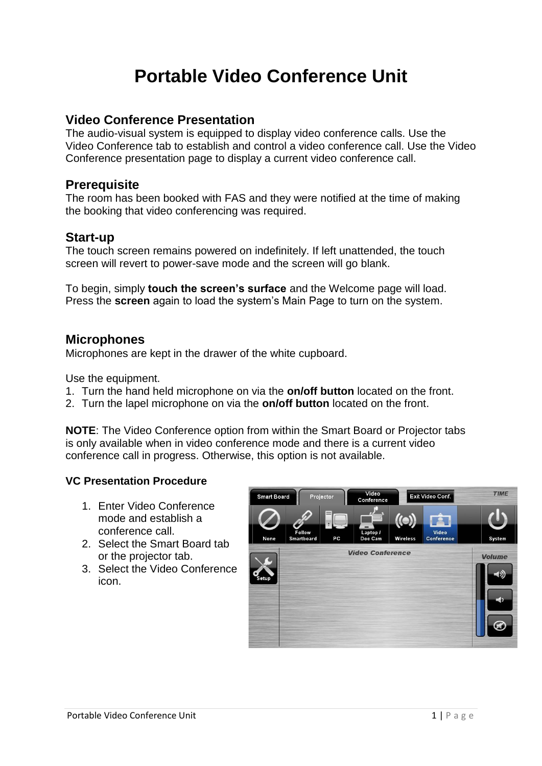# **Portable Video Conference Unit**

# **Video Conference Presentation**

The audio-visual system is equipped to display video conference calls. Use the Video Conference tab to establish and control a video conference call. Use the Video Conference presentation page to display a current video conference call.

# **Prerequisite**

The room has been booked with FAS and they were notified at the time of making the booking that video conferencing was required.

# **Start-up**

The touch screen remains powered on indefinitely. If left unattended, the touch screen will revert to power-save mode and the screen will go blank.

To begin, simply **touch the screen's surface** and the Welcome page will load. Press the **screen** again to load the system's Main Page to turn on the system.

## **Microphones**

Microphones are kept in the drawer of the white cupboard.

Use the equipment.

- 1. Turn the hand held microphone on via the **on/off button** located on the front.
- 2. Turn the lapel microphone on via the **on/off button** located on the front.

**NOTE**: The Video Conference option from within the Smart Board or Projector tabs is only available when in video conference mode and there is a current video conference call in progress. Otherwise, this option is not available.

## **VC Presentation Procedure**

- 1. Enter Video Conference mode and establish a conference call.
- 2. Select the Smart Board tab or the projector tab.
- 3. Select the Video Conference icon.

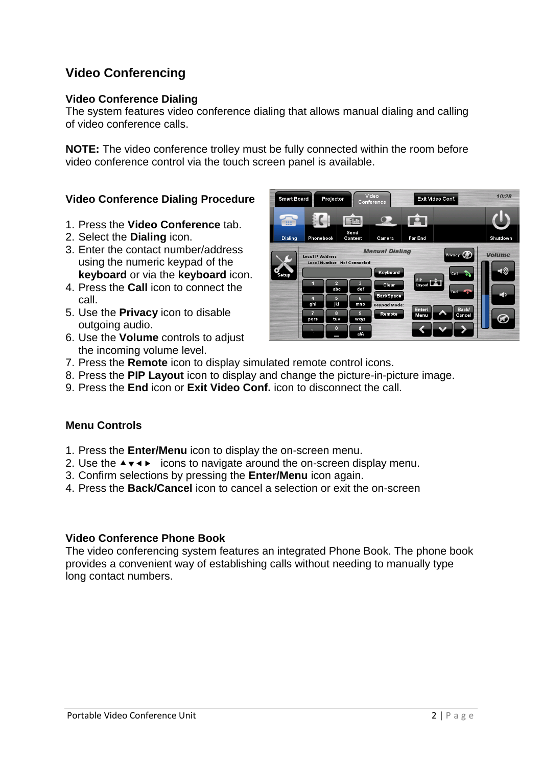# **Video Conferencing**

#### **Video Conference Dialing**

The system features video conference dialing that allows manual dialing and calling of video conference calls.

**NOTE:** The video conference trolley must be fully connected within the room before video conference control via the touch screen panel is available.

## **Video Conference Dialing Procedure**

- 1. Press the **Video Conference** tab.
- 2. Select the **Dialing** icon.
- 3. Enter the contact number/address using the numeric keypad of the **keyboard** or via the **keyboard** icon.
- 4. Press the **Call** icon to connect the call.
- 5. Use the **Privacy** icon to disable outgoing audio.
- 6. Use the **Volume** controls to adjust the incoming volume level.
- 7. Press the **Remote** icon to display simulated remote control icons.
- 8. Press the **PIP Layout** icon to display and change the picture-in-picture image.
- 9. Press the **End** icon or **Exit Video Conf.** icon to disconnect the call.

#### **Menu Controls**

- 1. Press the **Enter/Menu** icon to display the on-screen menu.
- 2. Use the  $\rightarrow \rightarrow \rightarrow$  icons to navigate around the on-screen display menu.
- 3. Confirm selections by pressing the **Enter/Menu** icon again.
- 4. Press the **Back/Cancel** icon to cancel a selection or exit the on-screen

#### **Video Conference Phone Book**

The video conferencing system features an integrated Phone Book. The phone book provides a convenient way of establishing calls without needing to manually type long contact numbers.

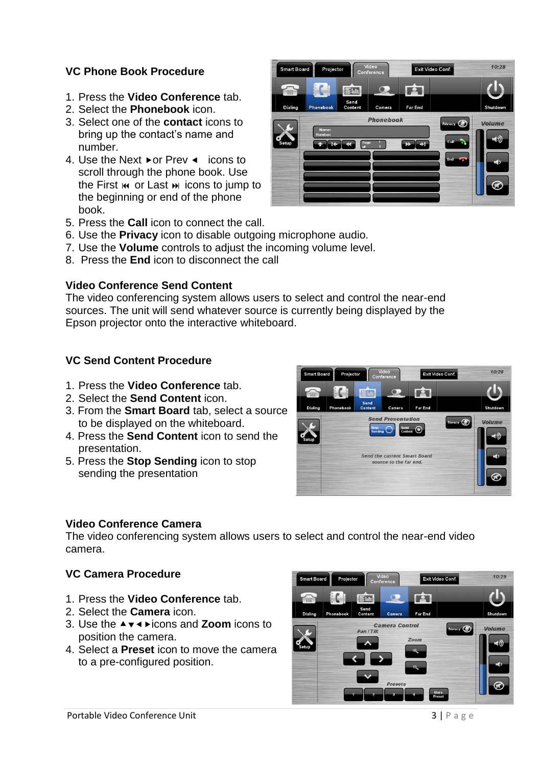## **VC Phone Book Procedure**

- 1. Press the **Video Conference** tab.
- 2. Select the **Phonebook** icon.
- 3. Select one of the **contact** icons to bring up the contact's name and number.
- 4. Use the Next  $\triangleright$  or Prev  $\triangleleft$  icons to scroll through the phone book. Use the First  $\mathbf{M}$  or Last  $\mathbf{M}$  icons to jump to the beginning or end of the phone book.
- 5. Press the **Call** icon to connect the call.
- 6. Use the **Privacy** icon to disable outgoing microphone audio.
- 7. Use the **Volume** controls to adjust the incoming volume level.
- 8. Press the **End** icon to disconnect the call

#### **Video Conference Send Content**

The video conferencing system allows users to select and control the near-end sources. The unit will send whatever source is currently being displayed by the Epson projector onto the interactive whiteboard.

#### **VC Send Content Procedure**

- 1. Press the **Video Conference** tab.
- 2. Select the **Send Content** icon.
- 3. From the **Smart Board** tab, select a source to be displayed on the whiteboard.
- 4. Press the **Send Content** icon to send the presentation.
- 5. Press the **Stop Sending** icon to stop sending the presentation

#### **Video Conference Camera**

The video conferencing system allows users to select and control the near-end video camera.

## **VC Camera Procedure**

- 1. Press the **Video Conference** tab.
- 2. Select the **Camera** icon.
- 3. Use the **Av I** ► icons and **Zoom** icons to position the camera.
- 4. Select a **Preset** icon to move the camera to a pre-configured position.